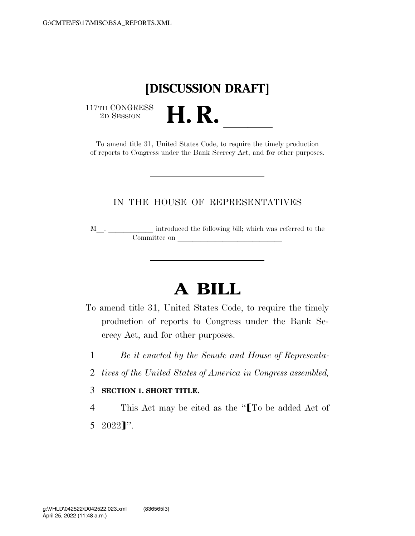## **[DISCUSSION DRAFT]**

 $\begin{array}{c} \text{117TH CONGRESS} \\ \text{2D SESION} \end{array}$ 

TH CONGRESS<br>
2D SESSION<br>
To amend title 31, United States Code, to require the timely production of reports to Congress under the Bank Secrecy Act, and for other purposes.

## IN THE HOUSE OF REPRESENTATIVES

<sup>M</sup>l. llllll introduced the following bill; which was referred to the  $\noindent \begin{tabular}{c} \multicolumn{1}{c|}{\textbf{Committee on}}\\ \multicolumn{2}{c|}{\textbf{Committee on}}\\ \multicolumn{2}{c|}{\textbf{Committee on}}\\ \multicolumn{2}{c|}{\textbf{Committee on}}\\ \multicolumn{2}{c|}{\textbf{Committee on}}\\ \multicolumn{2}{c|}{\textbf{Committee on}}\\ \multicolumn{2}{c|}{\textbf{Committee on}}\\ \multicolumn{2}{c|}{\textbf{Committee on}}\\ \multicolumn{2}{c|}{\textbf{Commitree on}}\\ \multicolumn{2}{c|}{\textbf{Commitree on}}\\ \multicolumn{2}{c|$ 

## **A BILL**

- To amend title 31, United States Code, to require the timely production of reports to Congress under the Bank Secrecy Act, and for other purposes.
	- 1 *Be it enacted by the Senate and House of Representa-*
- 2 *tives of the United States of America in Congress assembled,*

## 3 **SECTION 1. SHORT TITLE.**

4 This Act may be cited as the "ITo be added Act of  $5 \quad 2022$ ]''.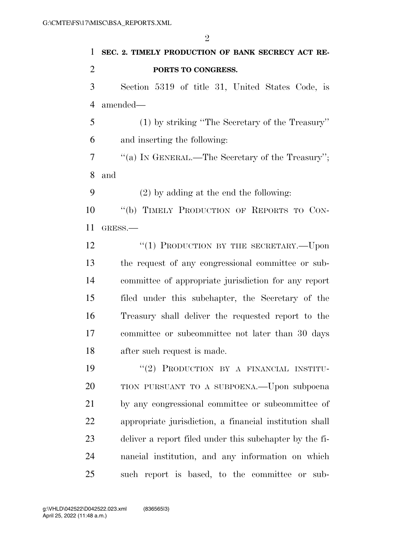| $\mathbf{1}$   | SEC. 2. TIMELY PRODUCTION OF BANK SECRECY ACT RE-       |
|----------------|---------------------------------------------------------|
| $\overline{2}$ | PORTS TO CONGRESS.                                      |
| 3              | Section 5319 of title 31, United States Code, is        |
| $\overline{4}$ | amended-                                                |
| 5              | (1) by striking "The Secretary of the Treasury"         |
| 6              | and inserting the following:                            |
| 7              | "(a) IN GENERAL.—The Secretary of the Treasury";        |
| 8              | and                                                     |
| 9              | $(2)$ by adding at the end the following:               |
| 10             | "(b) TIMELY PRODUCTION OF REPORTS TO CON-               |
| 11             | GRESS.-                                                 |
| 12             | "(1) PRODUCTION BY THE SECRETARY.—Upon                  |
| 13             | the request of any congressional committee or sub-      |
| 14             | committee of appropriate jurisdiction for any report    |
| 15             | filed under this subchapter, the Secretary of the       |
| 16             | Treasury shall deliver the requested report to the      |
| 17             | committee or subcommittee not later than 30 days        |
| 18             | after such request is made.                             |
| 19             | "(2) PRODUCTION BY A FINANCIAL INSTITU-                 |
| 20             | TION PURSUANT TO A SUBPOENA.—Upon subpoena              |
| 21             | by any congressional committee or subcommittee of       |
| 22             | appropriate jurisdiction, a financial institution shall |
| 23             | deliver a report filed under this subchapter by the fi- |
| 24             | nancial institution, and any information on which       |
| 25             | such report is based, to the committee or<br>sub-       |